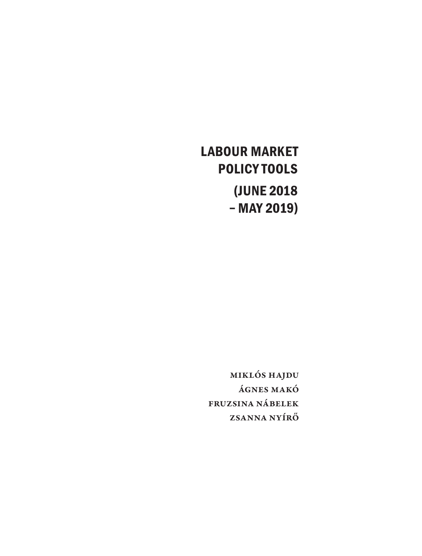# **LABOUR MARKET POLICY TOOLS (JUNE 2018 – MAY 2019)**

Miklós Hajdu Ágnes Makó Fruzsina Nábelek Zsanna Nyírő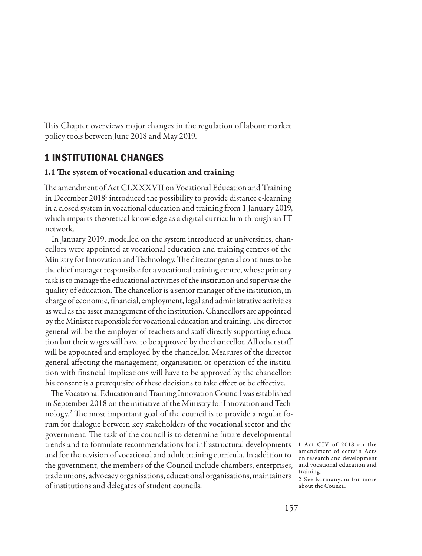This Chapter overviews major changes in the regulation of labour market policy tools between June 2018 and May 2019.

# **1 INSTITUTIONAL CHANGES**

## 1.1 The system of vocational education and training

The amendment of Act CLXXXVII on Vocational Education and Training in December 2018<sup>1</sup> introduced the possibility to provide distance e-learning in a closed system in vocational education and training from 1 January 2019, which imparts theoretical knowledge as a digital curriculum through an IT network.

In January 2019, modelled on the system introduced at universities, chancellors were appointed at vocational education and training centres of the Ministry for Innovation and Technology. The director general continues to be the chief manager responsible for a vocational training centre, whose primary task is to manage the educational activities of the institution and supervise the quality of education. The chancellor is a senior manager of the institution, in charge of economic, financial, employment, legal and administrative activities as well as the asset management of the institution. Chancellors are appointed by the Minister responsible for vocational education and training. The director general will be the employer of teachers and staff directly supporting education but their wages will have to be approved by the chancellor. All other staff will be appointed and employed by the chancellor. Measures of the director general affecting the management, organisation or operation of the institution with financial implications will have to be approved by the chancellor: his consent is a prerequisite of these decisions to take effect or be effective.

The Vocational Education and Training Innovation Council was established in September 2018 on the initiative of the Ministry for Innovation and Technology.2 The most important goal of the council is to provide a regular forum for dialogue between key stakeholders of the vocational sector and the government. The task of the council is to determine future developmental trends and to formulate recommendations for infrastructural developments and for the revision of vocational and adult training curricula. In addition to the government, the members of the Council include chambers, enterprises, trade unions, advocacy organisations, educational organisations, maintainers of institutions and delegates of student councils.

1 Act CIV of 2018 on the amendment of certain Acts on research and development and vocational education and training.

2 See kormany.hu for more about the Council.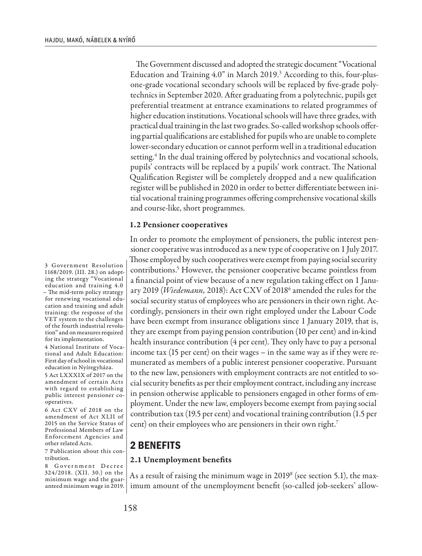The Government discussed and adopted the strategic document "Vocational Education and Training 4.0" in March 2019.<sup>3</sup> According to this, four-plusone-grade vocational secondary schools will be replaced by five-grade polytechnics in September 2020. After graduating from a polytechnic, pupils get preferential treatment at entrance examinations to related programmes of higher education institutions. Vocational schools will have three grades, with practical dual training in the last two grades. So-called workshop schools offering partial qualifications are established for pupils who are unable to complete lower-secondary education or cannot perform well in a traditional education setting.<sup>4</sup> In the dual training offered by polytechnics and vocational schools, pupils' contracts will be replaced by a pupils' work contract. The National Qualification Register will be completely dropped and a new qualification register will be published in 2020 in order to better differentiate between initial vocational training programmes offering comprehensive vocational skills and course-like, short programmes.

#### 1.2 Pensioner cooperatives

In order to promote the employment of pensioners, the public interest pensioner cooperative was introduced as a new type of cooperative on 1 July 2017. Those employed by such cooperatives were exempt from paying social security contributions.5 However, the pensioner cooperative became pointless from a financial point of view because of a new regulation taking effect on 1 January 2019 (*Wiedemann,* 2018): Act CXV of 20186 amended the rules for the social security status of employees who are pensioners in their own right. Accordingly, pensioners in their own right employed under the Labour Code have been exempt from insurance obligations since 1 January 2019, that is, they are exempt from paying pension contribution (10 per cent) and in-kind health insurance contribution (4 per cent). They only have to pay a personal income tax (15 per cent) on their wages – in the same way as if they were remunerated as members of a public interest pensioner cooperative. Pursuant to the new law, pensioners with employment contracts are not entitled to social security benefits as per their employment contract, including any increase in pension otherwise applicable to pensioners engaged in other forms of employment. Under the new law, employers become exempt from paying social contribution tax (19.5 per cent) and vocational training contribution (1.5 per cent) on their employees who are pensioners in their own right.7

## **2 BENEFITS**

#### 2.1 Unemployment benefits

As a result of raising the minimum wage in 2019 $^8$  (see section 5.1), the maximum amount of the unemployment benefit (so-called job-seekers' allow-

3 Government Resolution 1168/2019. (III. 28.) on adopting the strategy "Vocational education and training 4.0 – The mid-term policy strategy for renewing vocational education and training and adult training: the response of the VET system to the challenges of the fourth industrial revolution" and on measures required for its implementation.

4 National Institute of Vocational and Adult Education: First day of school in vocational education in Nyíregyháza.

5 Act LXXXIX of 2017 on the amendment of certain Acts with regard to establishing public interest pensioner cooperatives.

6 Act CXV of 2018 on the amendment of Act XLII of 2015 on the Service Status of Professional Members of Law Enforcement Agencies and other related Acts.

7 Publication about this contribution.

8 Government Decree 324/2018. (XII. 30.) on the minimum wage and the guaranteed minimum wage in 2019.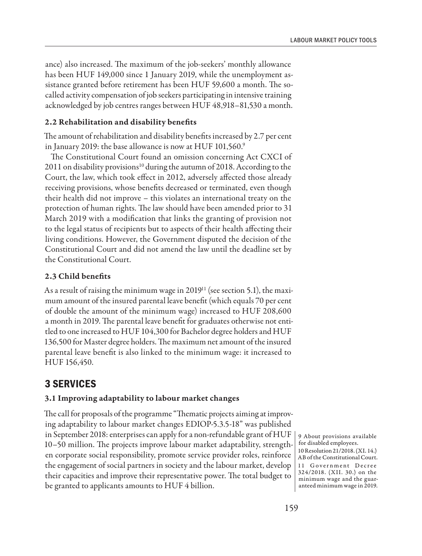ance) also increased. The maximum of the job-seekers' monthly allowance has been HUF 149,000 since 1 January 2019, while the unemployment assistance granted before retirement has been HUF 59,600 a month. The socalled activity compensation of job seekers participating in intensive training acknowledged by job centres ranges between HUF 48,918–81,530 a month.

### 2.2 Rehabilitation and disability benefits

The amount of rehabilitation and disability benefits increased by 2.7 per cent in January 2019: the base allowance is now at HUF 101,560.9

The Constitutional Court found an omission concerning Act CXCI of 2011 on disability provisions<sup>10</sup> during the autumn of 2018. According to the Court, the law, which took effect in 2012, adversely affected those already receiving provisions, whose benefits decreased or terminated, even though their health did not improve – this violates an international treaty on the protection of human rights. The law should have been amended prior to 31 March 2019 with a modification that links the granting of provision not to the legal status of recipients but to aspects of their health affecting their living conditions. However, the Government disputed the decision of the Constitutional Court and did not amend the law until the deadline set by the Constitutional Court.

### 2.3 Child benefits

As a result of raising the minimum wage in 2019<sup>11</sup> (see section 5.1), the maximum amount of the insured parental leave benefit (which equals 70 per cent of double the amount of the minimum wage) increased to HUF 208,600 a month in 2019. The parental leave benefit for graduates otherwise not entitled to one increased to HUF 104,300 for Bachelor degree holders and HUF 136,500 for Master degree holders. The maximum net amount of the insured parental leave benefit is also linked to the minimum wage: it increased to HUF 156,450.

# **3 SERVICES**

## 3.1 Improving adaptability to labour market changes

The call for proposals of the programme "Thematic projects aiming at improving adaptability to labour market changes EDIOP-5.3.5-18" was published in September 2018: enterprises can apply for a non-refundable grant of HUF 10–50 million. The projects improve labour market adaptability, strengthen corporate social responsibility, promote service provider roles, reinforce the engagement of social partners in society and the labour market, develop their capacities and improve their representative power. The total budget to be granted to applicants amounts to HUF 4 billion.

9 About provisions available for disabled employees. 10 Resolution 21/2018. (XI. 14.) AB of the Constitutional Court. 11 Government Decree 324/2018. (XII. 30.) on the minimum wage and the guaranteed minimum wage in 2019.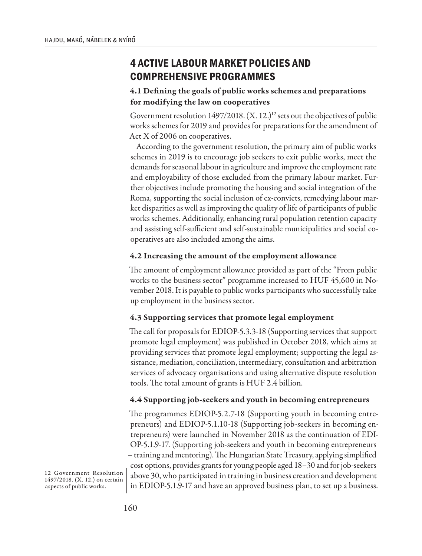# **4 ACTIVE LABOUR MARKET POLICIES AND COMPREHENSIVE PROGRAMMES**

## 4.1 Defining the goals of public works schemes and preparations for modifying the law on cooperatives

Government resolution 1497/2018. (X. 12.)<sup>12</sup> sets out the objectives of public works schemes for 2019 and provides for preparations for the amendment of Act X of 2006 on cooperatives.

According to the government resolution, the primary aim of public works schemes in 2019 is to encourage job seekers to exit public works, meet the demands for seasonal labour in agriculture and improve the employment rate and employability of those excluded from the primary labour market. Further objectives include promoting the housing and social integration of the Roma, supporting the social inclusion of ex-convicts, remedying labour market disparities as well as improving the quality of life of participants of public works schemes. Additionally, enhancing rural population retention capacity and assisting self-sufficient and self-sustainable municipalities and social cooperatives are also included among the aims.

## 4.2 Increasing the amount of the employment allowance

The amount of employment allowance provided as part of the "From public works to the business sector" programme increased to HUF 45,600 in November 2018. It is payable to public works participants who successfully take up employment in the business sector.

## 4.3 Supporting services that promote legal employment

The call for proposals for EDIOP-5.3.3-18 (Supporting services that support promote legal employment) was published in October 2018, which aims at providing services that promote legal employment; supporting the legal assistance, mediation, conciliation, intermediary, consultation and arbitration services of advocacy organisations and using alternative dispute resolution tools. The total amount of grants is HUF 2.4 billion.

## 4.4 Supporting job-seekers and youth in becoming entrepreneurs

The programmes EDIOP-5.2.7-18 (Supporting youth in becoming entrepreneurs) and EDIOP-5.1.10-18 (Supporting job-seekers in becoming entrepreneurs) were launched in November 2018 as the continuation of EDI-OP-5.1.9-17. (Supporting job-seekers and youth in becoming entrepreneurs – training and mentoring). The Hungarian State Treasury, applying simplified cost options, provides grants for young people aged 18–30 and for job-seekers above 30, who participated in training in business creation and development in EDIOP-5.1.9-17 and have an approved business plan, to set up a business.

12 Government Resolution 1497/2018. (X. 12.) on certain aspects of public works.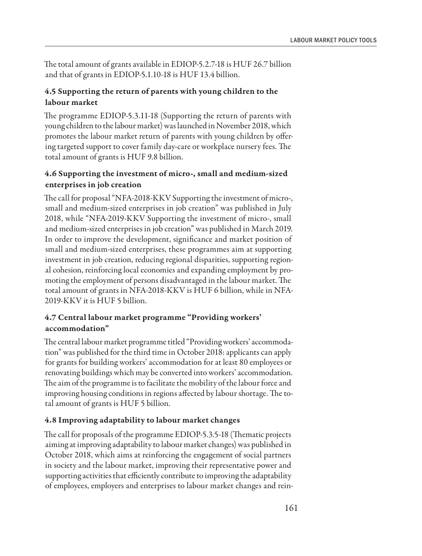The total amount of grants available in EDIOP-5.2.7-18 is HUF 26.7 billion and that of grants in EDIOP-5.1.10-18 is HUF 13.4 billion.

## 4.5 Supporting the return of parents with young children to the labour market

The programme EDIOP-5.3.11-18 (Supporting the return of parents with young children to the labour market) was launched in November 2018, which promotes the labour market return of parents with young children by offering targeted support to cover family day-care or workplace nursery fees. The total amount of grants is HUF 9.8 billion.

## 4.6 Supporting the investment of micro-, small and medium-sized enterprises in job creation

The call for proposal "NFA-2018-KKV Supporting the investment of micro-, small and medium-sized enterprises in job creation" was published in July 2018, while "NFA-2019-KKV Supporting the investment of micro-, small and medium-sized enterprises in job creation" was published in March 2019. In order to improve the development, significance and market position of small and medium-sized enterprises, these programmes aim at supporting investment in job creation, reducing regional disparities, supporting regional cohesion, reinforcing local economies and expanding employment by promoting the employment of persons disadvantaged in the labour market. The total amount of grants in NFA-2018-KKV is HUF 6 billion, while in NFA-2019-KKV it is HUF 5 billion.

## 4.7 Central labour market programme "Providing workers' accommodation"

The central labour market programme titled "Providing workers' accommodation" was published for the third time in October 2018: applicants can apply for grants for building workers' accommodation for at least 80 employees or renovating buildings which may be converted into workers' accommodation. The aim of the programme is to facilitate the mobility of the labour force and improving housing conditions in regions affected by labour shortage. The total amount of grants is HUF 5 billion.

## 4.8 Improving adaptability to labour market changes

The call for proposals of the programme EDIOP-5.3.5-18 (Thematic projects aiming at improving adaptability to labour market changes) was published in October 2018, which aims at reinforcing the engagement of social partners in society and the labour market, improving their representative power and supporting activities that efficiently contribute to improving the adaptability of employees, employers and enterprises to labour market changes and rein-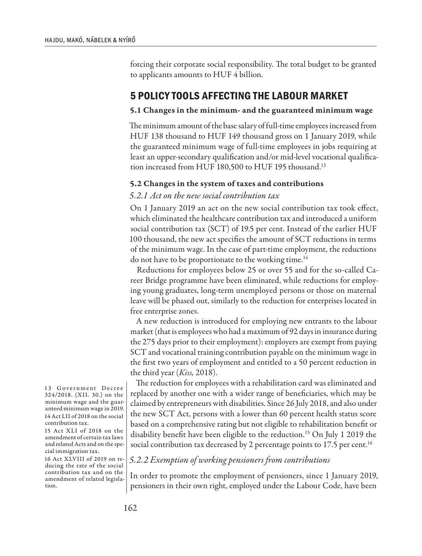forcing their corporate social responsibility. The total budget to be granted to applicants amounts to HUF 4 billion.

# **5 POLICY TOOLS AFFECTING THE LABOUR MARKET**

### 5.1 Changes in the minimum- and the guaranteed minimum wage

The minimum amount of the base salary of full-time employees increased from HUF 138 thousand to HUF 149 thousand gross on 1 January 2019, while the guaranteed minimum wage of full-time employees in jobs requiring at least an upper-secondary qualification and/or mid-level vocational qualification increased from HUF 180,500 to HUF 195 thousand.<sup>13</sup>

## 5.2 Changes in the system of taxes and contributions

## *5.2.1 Act on the new social contribution tax*

On 1 January 2019 an act on the new social contribution tax took effect, which eliminated the healthcare contribution tax and introduced a uniform social contribution tax (SCT) of 19.5 per cent. Instead of the earlier HUF 100 thousand, the new act specifies the amount of SCT reductions in terms of the minimum wage. In the case of part-time employment, the reductions do not have to be proportionate to the working time.<sup>14</sup>

Reductions for employees below 25 or over 55 and for the so-called Career Bridge programme have been eliminated, while reductions for employing young graduates, long-term unemployed persons or those on maternal leave will be phased out, similarly to the reduction for enterprises located in free enterprise zones.

A new reduction is introduced for employing new entrants to the labour market (that is employees who had a maximum of 92 days in insurance during the 275 days prior to their employment): employers are exempt from paying SCT and vocational training contribution payable on the minimum wage in the first two years of employment and entitled to a 50 percent reduction in the third year (*Kiss,* 2018).

The reduction for employees with a rehabilitation card was eliminated and replaced by another one with a wider range of beneficiaries, which may be claimed by entrepreneurs with disabilities. Since 26 July 2018, and also under the new SCT Act, persons with a lower than 60 percent health status score based on a comprehensive rating but not eligible to rehabilitation benefit or disability benefit have been eligible to the reduction.<sup>15</sup> On July 1 2019 the social contribution tax decreased by 2 percentage points to 17.5 per cent.<sup>16</sup>

## *5.2.2 Exemption of working pensioners from contributions*

In order to promote the employment of pensioners, since 1 January 2019, pensioners in their own right, employed under the Labour Code, have been

13 Government Decree 324/2018. (XII. 30.) on the minimum wage and the guaranteed minimum wage in 2019. 14 Act LII of 2018 on the social contribution tax.

15 Act XLI of 2018 on the amendment of certain tax laws and related Acts and on the special immigration tax.

16 Act XLVIII of 2019 on reducing the rate of the social contribution tax and on the amendment of related legislation.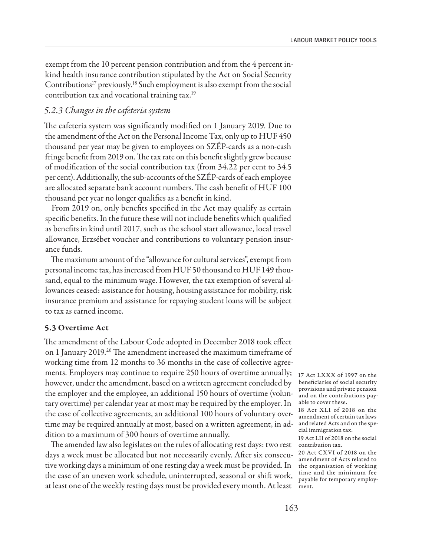exempt from the 10 percent pension contribution and from the 4 percent inkind health insurance contribution stipulated by the Act on Social Security Contributions<sup>17</sup> previously.<sup>18</sup> Such employment is also exempt from the social contribution tax and vocational training tax.<sup>19</sup>

## *5.2.3 Changes in the cafeteria system*

The cafeteria system was significantly modified on 1 January 2019. Due to the amendment of the Act on the Personal Income Tax, only up to HUF 450 thousand per year may be given to employees on SZÉP-cards as a non-cash fringe benefit from 2019 on. The tax rate on this benefit slightly grew because of modification of the social contribution tax (from 34.22 per cent to 34.5 per cent). Additionally, the sub-accounts of the SZÉP-cards of each employee are allocated separate bank account numbers. The cash benefit of HUF 100 thousand per year no longer qualifies as a benefit in kind.

From 2019 on, only benefits specified in the Act may qualify as certain specific benefits. In the future these will not include benefits which qualified as benefits in kind until 2017, such as the school start allowance, local travel allowance, Erzsébet voucher and contributions to voluntary pension insurance funds.

The maximum amount of the "allowance for cultural services", exempt from personal income tax, has increased from HUF 50 thousand to HUF 149 thousand, equal to the minimum wage. However, the tax exemption of several allowances ceased: assistance for housing, housing assistance for mobility, risk insurance premium and assistance for repaying student loans will be subject to tax as earned income.

#### 5.3 Overtime Act

The amendment of the Labour Code adopted in December 2018 took effect on 1 January 2019.<sup>20</sup> The amendment increased the maximum timeframe of working time from 12 months to 36 months in the case of collective agreements. Employers may continue to require 250 hours of overtime annually; however, under the amendment, based on a written agreement concluded by the employer and the employee, an additional 150 hours of overtime (voluntary overtime) per calendar year at most may be required by the employer. In the case of collective agreements, an additional 100 hours of voluntary overtime may be required annually at most, based on a written agreement, in addition to a maximum of 300 hours of overtime annually.

The amended law also legislates on the rules of allocating rest days: two rest days a week must be allocated but not necessarily evenly. After six consecutive working days a minimum of one resting day a week must be provided. In the case of an uneven work schedule, uninterrupted, seasonal or shift work, at least one of the weekly resting days must be provided every month. At least  $\mid$  ment.

17 Act LXXX of 1997 on the beneficiaries of social security provisions and private pension and on the contributions payable to cover these.

<sup>18</sup> Act XLI of 2018 on the amendment of certain tax laws and related Acts and on the special immigration tax. 19 Act LII of 2018 on the social

contribution tax.

<sup>20</sup> Act CXVI of 2018 on the amendment of Acts related to the organisation of working time and the minimum fee payable for temporary employ-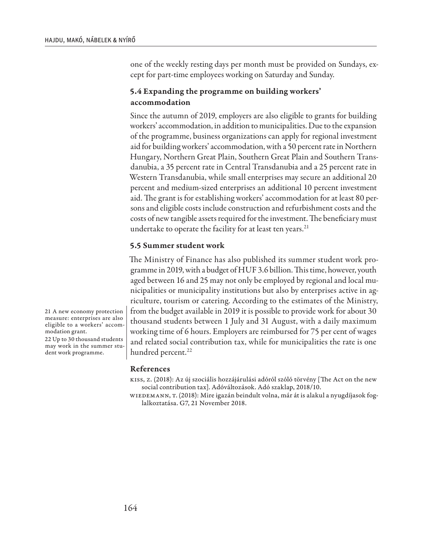one of the weekly resting days per month must be provided on Sundays, except for part-time employees working on Saturday and Sunday.

## 5.4 Expanding the programme on building workers' accommodation

Since the autumn of 2019, employers are also eligible to grants for building workers' accommodation, in addition to municipalities. Due to the expansion of the programme, business organizations can apply for regional investment aid for building workers' accommodation, with a 50 percent rate in Northern Hungary, Northern Great Plain, Southern Great Plain and Southern Transdanubia, a 35 percent rate in Central Transdanubia and a 25 percent rate in Western Transdanubia, while small enterprises may secure an additional 20 percent and medium-sized enterprises an additional 10 percent investment aid. The grant is for establishing workers' accommodation for at least 80 persons and eligible costs include construction and refurbishment costs and the costs of new tangible assets required for the investment. The beneficiary must undertake to operate the facility for at least ten years.<sup>21</sup>

#### 5.5 Summer student work

The Ministry of Finance has also published its summer student work programme in 2019, with a budget of HUF 3.6 billion. This time, however, youth aged between 16 and 25 may not only be employed by regional and local municipalities or municipality institutions but also by enterprises active in agriculture, tourism or catering. According to the estimates of the Ministry, from the budget available in 2019 it is possible to provide work for about 30 thousand students between 1 July and 31 August, with a daily maximum working time of 6 hours. Employers are reimbursed for 75 per cent of wages and related social contribution tax, while for municipalities the rate is one hundred percent.<sup>22</sup>

#### References

Kiss, Z. (2018): Az új szociális hozzájárulási adóról szóló törvény [The Act on the new social contribution tax]. Adóváltozások. Adó szaklap, 2018/10.

Wiedemann, T. (2018): Mire igazán beindult volna, már át is alakul a nyugdíjasok foglalkoztatása. G7, 21 November 2018.

21 A new economy protection measure: enterprises are also eligible to a workers' accommodation grant.

22 Up to 30 thousand students may work in the summer student work programme.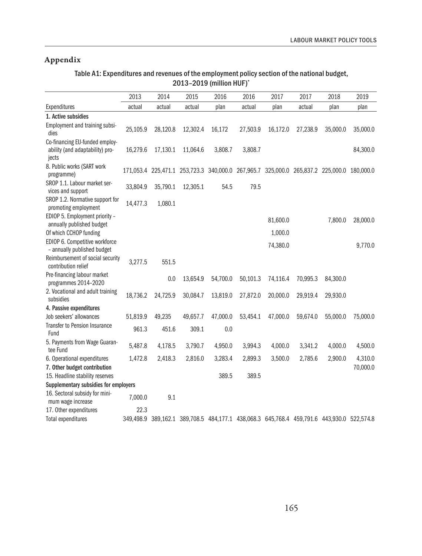# Appendix

## Table A1: Expenditures and revenues of the employment policy section of the national budget, 2013–2019 (million HUF)\*

|                                                                            | 2013      | 2014     | 2015     | 2016     | 2016     | 2017     | 2017     | 2018                                                                                      | 2019     |
|----------------------------------------------------------------------------|-----------|----------|----------|----------|----------|----------|----------|-------------------------------------------------------------------------------------------|----------|
| Expenditures                                                               | actual    | actual   | actual   | plan     | actual   | plan     | actual   | plan                                                                                      | plan     |
| 1. Active subsidies                                                        |           |          |          |          |          |          |          |                                                                                           |          |
| Employment and training subsi-<br>dies                                     | 25,105.9  | 28,120.8 | 12,302.4 | 16,172   | 27,503.9 | 16,172.0 | 27,238.9 | 35,000.0                                                                                  | 35,000.0 |
| Co-financing EU-funded employ-<br>ability (and adaptability) pro-<br>jects | 16,279.6  | 17,130.1 | 11,064.6 | 3,808.7  | 3,808.7  |          |          |                                                                                           | 84,300.0 |
| 8. Public works (SART work<br>programme)                                   |           |          |          |          |          |          |          | 171,053.4 225,471.1 253,723.3 340,000.0 267,965.7 325,000.0 265,837.2 225,000.0 180,000.0 |          |
| SROP 1.1. Labour market ser-<br>vices and support                          | 33,804.9  | 35,790.1 | 12,305.1 | 54.5     | 79.5     |          |          |                                                                                           |          |
| SROP 1.2. Normative support for<br>promoting employment                    | 14,477.3  | 1,080.1  |          |          |          |          |          |                                                                                           |          |
| EDIOP 5. Employment priority -<br>annually published budget                |           |          |          |          |          | 81,600.0 |          | 7,800.0                                                                                   | 28,000.0 |
| Of which CCHOP funding                                                     |           |          |          |          |          | 1,000.0  |          |                                                                                           |          |
| EDIOP 6. Competitive workforce<br>- annually published budget              |           |          |          |          |          | 74,380.0 |          |                                                                                           | 9,770.0  |
| Reimbursement of social security<br>contribution relief                    | 3,277.5   | 551.5    |          |          |          |          |          |                                                                                           |          |
| Pre-financing labour market<br>programmes 2014-2020                        |           | 0.0      | 13,654.9 | 54,700.0 | 50,101.3 | 74,116.4 | 70,995.3 | 84,300.0                                                                                  |          |
| 2. Vocational and adult training<br>subsidies                              | 18,736.2  | 24,725.9 | 30,084.7 | 13,819.0 | 27,872.0 | 20,000.0 | 29,919.4 | 29,930.0                                                                                  |          |
| 4. Passive expenditures                                                    |           |          |          |          |          |          |          |                                                                                           |          |
| Job seekers' allowances                                                    | 51,819.9  | 49,235   | 49,657.7 | 47,000.0 | 53,454.1 | 47,000.0 | 59,674.0 | 55,000.0                                                                                  | 75,000.0 |
| <b>Transfer to Pension Insurance</b><br>Fund                               | 961.3     | 451.6    | 309.1    | 0.0      |          |          |          |                                                                                           |          |
| 5. Payments from Wage Guaran-<br>tee Fund                                  | 5,487.8   | 4,178.5  | 3,790.7  | 4,950.0  | 3,994.3  | 4,000.0  | 3,341.2  | 4,000.0                                                                                   | 4,500.0  |
| 6. Operational expenditures                                                | 1,472.8   | 2,418.3  | 2,816.0  | 3,283.4  | 2,899.3  | 3,500.0  | 2,785.6  | 2,900.0                                                                                   | 4,310.0  |
| 7. Other budget contribution                                               |           |          |          |          |          |          |          |                                                                                           | 70,000.0 |
| 15. Headline stability reserves                                            |           |          |          | 389.5    | 389.5    |          |          |                                                                                           |          |
| Supplementary subsidies for employers                                      |           |          |          |          |          |          |          |                                                                                           |          |
| 16. Sectoral subsidy for mini-<br>mum wage increase                        | 7,000.0   | 9.1      |          |          |          |          |          |                                                                                           |          |
| 17. Other expenditures                                                     | 22.3      |          |          |          |          |          |          |                                                                                           |          |
| <b>Total expenditures</b>                                                  | 349,498.9 |          |          |          |          |          |          | 389,162.1 389,708.5 484,177.1 438,068.3 645,768.4 459,791.6 443,930.0 522,574.8           |          |